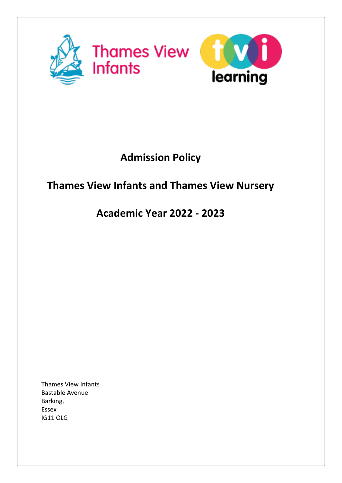

# **Admission Policy**

## **Thames View Infants and Thames View Nursery**

## **Academic Year 2022 - 2023**

Thames View Infants Bastable Avenue Barking, Essex IG11 OLG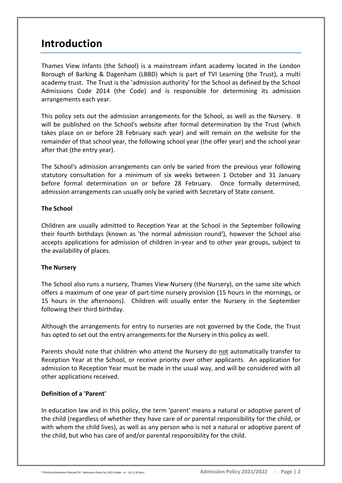## **Introduction**

Thames View Infants (the School) is a mainstream infant academy located in the London Borough of Barking & Dagenham (LBBD) which is part of TVI Learning (the Trust), a multi academy trust. The Trust is the 'admission authority' for the School as defined by the School Admissions Code 2014 (the Code) and is responsible for determining its admission arrangements each year.

This policy sets out the admission arrangements for the School, as well as the Nursery. It will be published on the School's website after formal determination by the Trust (which takes place on or before 28 February each year) and will remain on the website for the remainder of that school year, the following school year (the offer year) and the school year after that (the entry year).

The School's admission arrangements can only be varied from the previous year following statutory consultation for a minimum of six weeks between 1 October and 31 January before formal determination on or before 28 February. Once formally determined, admission arrangements can usually only be varied with Secretary of State consent.

### **The School**

Children are usually admitted to Reception Year at the School in the September following their fourth birthdays (known as 'the normal admission round'), however the School also accepts applications for admission of children in-year and to other year groups, subject to the availability of places.

## **The Nursery**

The School also runs a nursery, Thames View Nursery (the Nursery), on the same site which offers a maximum of one year of part-time nursery provision (15 hours in the mornings, or 15 hours in the afternoons). Children will usually enter the Nursery in the September following their third birthday.

Although the arrangements for entry to nurseries are not governed by the Code, the Trust has opted to set out the entry arrangements for the Nursery in this policy as well.

Parents should note that children who attend the Nursery do not automatically transfer to Reception Year at the School, or receive priority over other applicants. An application for admission to Reception Year must be made in the usual way, and will be considered with all other applications received.

## **Definition of a 'Parent'**

In education law and in this policy, the term 'parent' means a natural or adoptive parent of the child (regardless of whether they have care of or parental responsibility for the child, or with whom the child lives), as well as any person who is not a natural or adoptive parent of the child, but who has care of and/or parental responsibility for the child.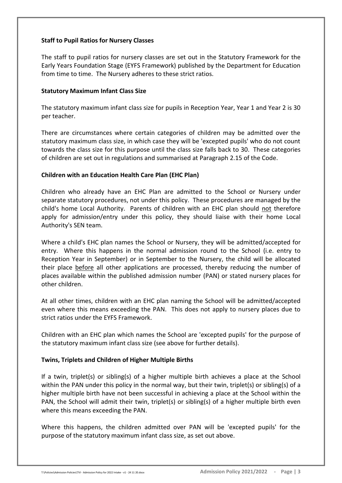### **Staff to Pupil Ratios for Nursery Classes**

The staff to pupil ratios for nursery classes are set out in the Statutory Framework for the Early Years Foundation Stage (EYFS Framework) published by the Department for Education from time to time. The Nursery adheres to these strict ratios.

### **Statutory Maximum Infant Class Size**

The statutory maximum infant class size for pupils in Reception Year, Year 1 and Year 2 is 30 per teacher.

There are circumstances where certain categories of children may be admitted over the statutory maximum class size, in which case they will be 'excepted pupils' who do not count towards the class size for this purpose until the class size falls back to 30. These categories of children are set out in regulations and summarised at Paragraph 2.15 of the Code.

### **Children with an Education Health Care Plan (EHC Plan)**

Children who already have an EHC Plan are admitted to the School or Nursery under separate statutory procedures, not under this policy. These procedures are managed by the child's home Local Authority. Parents of children with an EHC plan should not therefore apply for admission/entry under this policy, they should liaise with their home Local Authority's SEN team.

Where a child's EHC plan names the School or Nursery, they will be admitted/accepted for entry. Where this happens in the normal admission round to the School (i.e. entry to Reception Year in September) or in September to the Nursery, the child will be allocated their place before all other applications are processed, thereby reducing the number of places available within the published admission number (PAN) or stated nursery places for other children.

At all other times, children with an EHC plan naming the School will be admitted/accepted even where this means exceeding the PAN. This does not apply to nursery places due to strict ratios under the EYFS Framework.

Children with an EHC plan which names the School are 'excepted pupils' for the purpose of the statutory maximum infant class size (see above for further details).

## **Twins, Triplets and Children of Higher Multiple Births**

If a twin, triplet(s) or sibling(s) of a higher multiple birth achieves a place at the School within the PAN under this policy in the normal way, but their twin, triplet(s) or sibling(s) of a higher multiple birth have not been successful in achieving a place at the School within the PAN, the School will admit their twin, triplet(s) or sibling(s) of a higher multiple birth even where this means exceeding the PAN.

Where this happens, the children admitted over PAN will be 'excepted pupils' for the purpose of the statutory maximum infant class size, as set out above.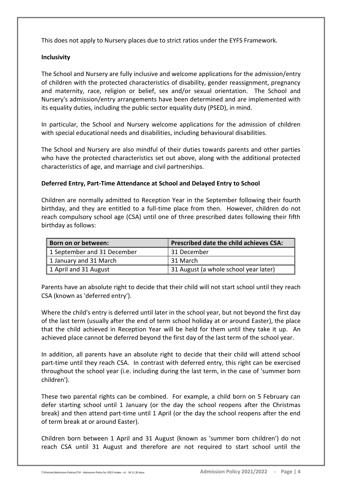This does not apply to Nursery places due to strict ratios under the EYFS Framework.

### **Inclusivity**

The School and Nursery are fully inclusive and welcome applications for the admission/entry of children with the protected characteristics of disability, gender reassignment, pregnancy and maternity, race, religion or belief, sex and/or sexual orientation. The School and Nursery's admission/entry arrangements have been determined and are implemented with its equality duties, including the public sector equality duty (PSED), in mind.

In particular, the School and Nursery welcome applications for the admission of children with special educational needs and disabilities, including behavioural disabilities.

The School and Nursery are also mindful of their duties towards parents and other parties who have the protected characteristics set out above, along with the additional protected characteristics of age, and marriage and civil partnerships.

### **Deferred Entry, Part-Time Attendance at School and Delayed Entry to School**

Children are normally admitted to Reception Year in the September following their fourth birthday, and they are entitled to a full-time place from then. However, children do not reach compulsory school age (CSA) until one of three prescribed dates following their fifth birthday as follows:

| Born on or between:         | <b>Prescribed date the child achieves CSA:</b> |
|-----------------------------|------------------------------------------------|
| 1 September and 31 December | 31 December                                    |
| 1 January and 31 March      | 31 March                                       |
| 1 April and 31 August       | 31 August (a whole school year later)          |

Parents have an absolute right to decide that their child will not start school until they reach CSA (known as 'deferred entry').

Where the child's entry is deferred until later in the school year, but not beyond the first day of the last term (usually after the end of term school holiday at or around Easter), the place that the child achieved in Reception Year will be held for them until they take it up. An achieved place cannot be deferred beyond the first day of the last term of the school year.

In addition, all parents have an absolute right to decide that their child will attend school part-time until they reach CSA. In contrast with deferred entry, this right can be exercised throughout the school year (i.e. including during the last term, in the case of 'summer born children').

These two parental rights can be combined. For example, a child born on 5 February can defer starting school until 1 January (or the day the school reopens after the Christmas break) and then attend part-time until 1 April (or the day the school reopens after the end of term break at or around Easter).

Children born between 1 April and 31 August (known as 'summer born children') do not reach CSA until 31 August and therefore are not required to start school until the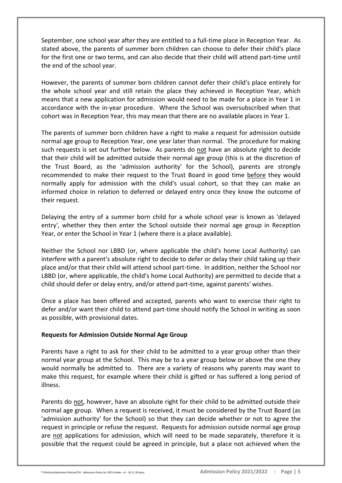September, one school year after they are entitled to a full-time place in Reception Year. As stated above, the parents of summer born children can choose to defer their child's place for the first one or two terms, and can also decide that their child will attend part-time until the end of the school year.

However, the parents of summer born children cannot defer their child's place entirely for the whole school year and still retain the place they achieved in Reception Year, which means that a new application for admission would need to be made for a place in Year 1 in accordance with the in-year procedure. Where the School was oversubscribed when that cohort was in Reception Year, this may mean that there are no available places in Year 1.

The parents of summer born children have a right to make a request for admission outside normal age group to Reception Year, one year later than normal. The procedure for making such requests is set out further below. As parents do not have an absolute right to decide that their child will be admitted outside their normal age group (this is at the discretion of the Trust Board, as the 'admission authority' for the School), parents are strongly recommended to make their request to the Trust Board in good time before they would normally apply for admission with the child's usual cohort, so that they can make an informed choice in relation to deferred or delayed entry once they know the outcome of their request.

Delaying the entry of a summer born child for a whole school year is known as 'delayed entry', whether they then enter the School outside their normal age group in Reception Year, or enter the School in Year 1 (where there is a place available).

Neither the School nor LBBD (or, where applicable the child's home Local Authority) can interfere with a parent's absolute right to decide to defer or delay their child taking up their place and/or that their child will attend school part-time. In addition, neither the School nor LBBD (or, where applicable, the child's home Local Authority) are permitted to decide that a child should defer or delay entry, and/or attend part-time, against parents' wishes.

Once a place has been offered and accepted, parents who want to exercise their right to defer and/or want their child to attend part-time should notify the School in writing as soon as possible, with provisional dates.

#### **Requests for Admission Outside Normal Age Group**

Parents have a right to ask for their child to be admitted to a year group other than their normal year group at the School. This may be to a year group below or above the one they would normally be admitted to. There are a variety of reasons why parents may want to make this request, for example where their child is gifted or has suffered a long period of illness.

Parents do not, however, have an absolute right for their child to be admitted outside their normal age group. When a request is received, it must be considered by the Trust Board (as 'admission authority' for the School) so that they can decide whether or not to agree the request in principle or refuse the request. Requests for admission outside normal age group are not applications for admission, which will need to be made separately, therefore it is possible that the request could be agreed in principle, but a place not achieved when the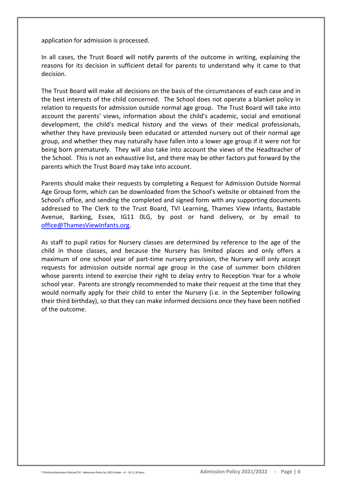application for admission is processed.

In all cases, the Trust Board will notify parents of the outcome in writing, explaining the reasons for its decision in sufficient detail for parents to understand why it came to that decision.

The Trust Board will make all decisions on the basis of the circumstances of each case and in the best interests of the child concerned. The School does not operate a blanket policy in relation to requests for admission outside normal age group. The Trust Board will take into account the parents' views, information about the child's academic, social and emotional development, the child's medical history and the views of their medical professionals, whether they have previously been educated or attended nursery out of their normal age group, and whether they may naturally have fallen into a lower age group if it were not for being born prematurely. They will also take into account the views of the Headteacher of the School. This is not an exhaustive list, and there may be other factors put forward by the parents which the Trust Board may take into account.

Parents should make their requests by completing a Request for Admission Outside Normal Age Group form, which can be downloaded from the School's website or obtained from the School's office, and sending the completed and signed form with any supporting documents addressed to The Clerk to the Trust Board, TVI Learning, Thames View Infants, Bastable Avenue, Barking, Essex, IG11 0LG, by post or hand delivery, or by email to [office@ThamesViewInfants.org.](mailto:office@ThamesViewInfants.org)

As staff to pupil ratios for Nursery classes are determined by reference to the age of the child in those classes, and because the Nursery has limited places and only offers a maximum of one school year of part-time nursery provision, the Nursery will only accept requests for admission outside normal age group in the case of summer born children whose parents intend to exercise their right to delay entry to Reception Year for a whole school year. Parents are strongly recommended to make their request at the time that they would normally apply for their child to enter the Nursery (i.e. in the September following their third birthday), so that they can make informed decisions once they have been notified of the outcome.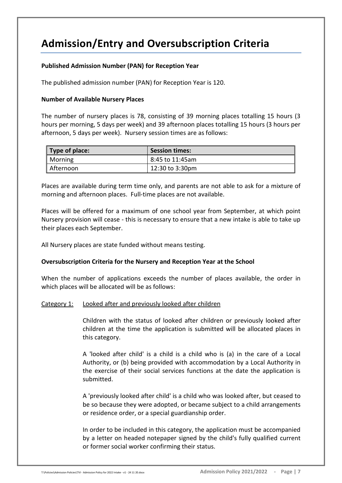## **Admission/Entry and Oversubscription Criteria**

### **Published Admission Number (PAN) for Reception Year**

The published admission number (PAN) for Reception Year is 120.

#### **Number of Available Nursery Places**

The number of nursery places is 78, consisting of 39 morning places totalling 15 hours (3 hours per morning, 5 days per week) and 39 afternoon places totalling 15 hours (3 hours per afternoon, 5 days per week). Nursery session times are as follows:

| Type of place: | <b>Session times:</b> |
|----------------|-----------------------|
| Morning        | 8:45 to 11:45am       |
| Afternoon      | 12:30 to 3:30pm       |

Places are available during term time only, and parents are not able to ask for a mixture of morning and afternoon places. Full-time places are not available.

Places will be offered for a maximum of one school year from September, at which point Nursery provision will cease - this is necessary to ensure that a new intake is able to take up their places each September.

All Nursery places are state funded without means testing.

#### **Oversubscription Criteria for the Nursery and Reception Year at the School**

When the number of applications exceeds the number of places available, the order in which places will be allocated will be as follows:

#### Category 1: Looked after and previously looked after children

Children with the status of looked after children or previously looked after children at the time the application is submitted will be allocated places in this category.

A 'looked after child' is a child is a child who is (a) in the care of a Local Authority, or (b) being provided with accommodation by a Local Authority in the exercise of their social services functions at the date the application is submitted.

A 'previously looked after child' is a child who was looked after, but ceased to be so because they were adopted, or became subject to a child arrangements or residence order, or a special guardianship order.

In order to be included in this category, the application must be accompanied by a letter on headed notepaper signed by the child's fully qualified current or former social worker confirming their status.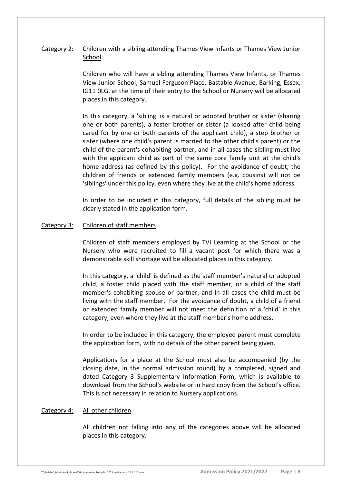## Category 2: Children with a sibling attending Thames View Infants or Thames View Junior School

Children who will have a sibling attending Thames View Infants, or Thames View Junior School, Samuel Ferguson Place, Bastable Avenue, Barking, Essex, IG11 0LG, at the time of their entry to the School or Nursery will be allocated places in this category.

In this category, a 'sibling' is a natural or adopted brother or sister (sharing one or both parents), a foster brother or sister (a looked after child being cared for by one or both parents of the applicant child), a step brother or sister (where one child's parent is married to the other child's parent) or the child of the parent's cohabiting partner, and in all cases the sibling must live with the applicant child as part of the same core family unit at the child's home address (as defined by this policy). For the avoidance of doubt, the children of friends or extended family members (e.g. cousins) will not be 'siblings' under this policy, even where they live at the child's home address.

In order to be included in this category, full details of the sibling must be clearly stated in the application form.

#### Category 3: Children of staff members

Children of staff members employed by TVI Learning at the School or the Nursery who were recruited to fill a vacant post for which there was a demonstrable skill shortage will be allocated places in this category.

In this category, a 'child' is defined as the staff member's natural or adopted child, a foster child placed with the staff member, or a child of the staff member's cohabiting spouse or partner, and in all cases the child must be living with the staff member. For the avoidance of doubt, a child of a friend or extended family member will not meet the definition of a 'child' in this category, even where they live at the staff member's home address.

In order to be included in this category, the employed parent must complete the application form, with no details of the other parent being given.

Applications for a place at the School must also be accompanied (by the closing date, in the normal admission round) by a completed, signed and dated Category 3 Supplementary Information Form, which is available to download from the School's website or in hard copy from the School's office. This is not necessary in relation to Nursery applications.

#### Category 4: All other children

All children not falling into any of the categories above will be allocated places in this category.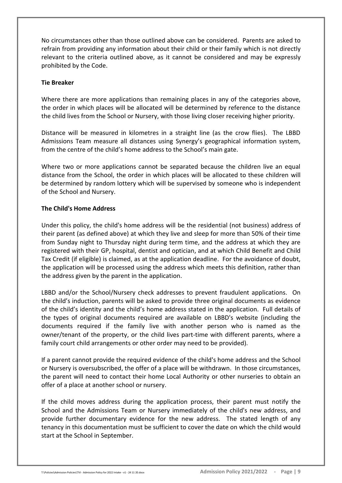No circumstances other than those outlined above can be considered. Parents are asked to refrain from providing any information about their child or their family which is not directly relevant to the criteria outlined above, as it cannot be considered and may be expressly prohibited by the Code.

#### **Tie Breaker**

Where there are more applications than remaining places in any of the categories above, the order in which places will be allocated will be determined by reference to the distance the child lives from the School or Nursery, with those living closer receiving higher priority.

Distance will be measured in kilometres in a straight line (as the crow flies). The LBBD Admissions Team measure all distances using Synergy's geographical information system, from the centre of the child's home address to the School's main gate.

Where two or more applications cannot be separated because the children live an equal distance from the School, the order in which places will be allocated to these children will be determined by random lottery which will be supervised by someone who is independent of the School and Nursery.

### **The Child's Home Address**

Under this policy, the child's home address will be the residential (not business) address of their parent (as defined above) at which they live and sleep for more than 50% of their time from Sunday night to Thursday night during term time, and the address at which they are registered with their GP, hospital, dentist and optician, and at which Child Benefit and Child Tax Credit (if eligible) is claimed, as at the application deadline. For the avoidance of doubt, the application will be processed using the address which meets this definition, rather than the address given by the parent in the application.

LBBD and/or the School/Nursery check addresses to prevent fraudulent applications. On the child's induction, parents will be asked to provide three original documents as evidence of the child's identity and the child's home address stated in the application. Full details of the types of original documents required are available on LBBD's website (including the documents required if the family live with another person who is named as the owner/tenant of the property, or the child lives part-time with different parents, where a family court child arrangements or other order may need to be provided).

If a parent cannot provide the required evidence of the child's home address and the School or Nursery is oversubscribed, the offer of a place will be withdrawn. In those circumstances, the parent will need to contact their home Local Authority or other nurseries to obtain an offer of a place at another school or nursery.

If the child moves address during the application process, their parent must notify the School and the Admissions Team or Nursery immediately of the child's new address, and provide further documentary evidence for the new address. The stated length of any tenancy in this documentation must be sufficient to cover the date on which the child would start at the School in September.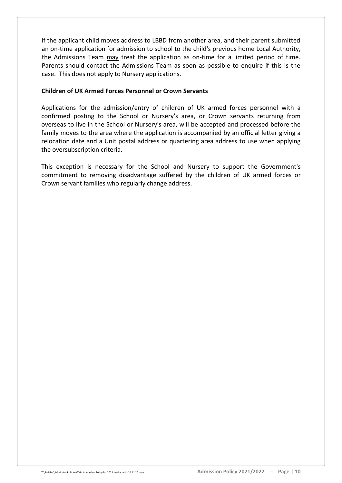If the applicant child moves address to LBBD from another area, and their parent submitted an on-time application for admission to school to the child's previous home Local Authority, the Admissions Team may treat the application as on-time for a limited period of time. Parents should contact the Admissions Team as soon as possible to enquire if this is the case. This does not apply to Nursery applications.

#### **Children of UK Armed Forces Personnel or Crown Servants**

Applications for the admission/entry of children of UK armed forces personnel with a confirmed posting to the School or Nursery's area, or Crown servants returning from overseas to live in the School or Nursery's area, will be accepted and processed before the family moves to the area where the application is accompanied by an official letter giving a relocation date and a Unit postal address or quartering area address to use when applying the oversubscription criteria.

This exception is necessary for the School and Nursery to support the Government's commitment to removing disadvantage suffered by the children of UK armed forces or Crown servant families who regularly change address.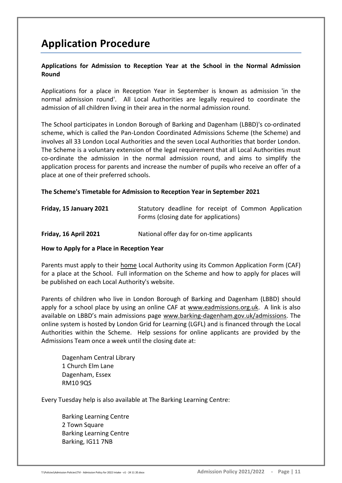## **Application Procedure**

## **Applications for Admission to Reception Year at the School in the Normal Admission Round**

Applications for a place in Reception Year in September is known as admission 'in the normal admission round'. All Local Authorities are legally required to coordinate the admission of all children living in their area in the normal admission round.

The School participates in London Borough of Barking and Dagenham (LBBD)'s co-ordinated scheme, which is called the Pan-London Coordinated Admissions Scheme (the Scheme) and involves all 33 London Local Authorities and the seven Local Authorities that border London. The Scheme is a voluntary extension of the legal requirement that all Local Authorities must co-ordinate the admission in the normal admission round, and aims to simplify the application process for parents and increase the number of pupils who receive an offer of a place at one of their preferred schools.

### **The Scheme's Timetable for Admission to Reception Year in September 2021**

| Friday, 15 January 2021 | Statutory deadline for receipt of Common Application<br>Forms (closing date for applications) |
|-------------------------|-----------------------------------------------------------------------------------------------|
| Friday, 16 April 2021   | National offer day for on-time applicants                                                     |

#### **How to Apply for a Place in Reception Year**

Parents must apply to their home Local Authority using its Common Application Form (CAF) for a place at the School. Full information on the Scheme and how to apply for places will be published on each Local Authority's website.

Parents of children who live in London Borough of Barking and Dagenham (LBBD) should apply for a school place by using an online CAF at [www.eadmissions.org.uk.](http://www.eadmissions.org.uk/) A link is also available on LBBD's main admissions page [www.barking-dagenham.gov.uk/admissions.](http://www.barking-dagenham.gov.uk/admissions) The online system is hosted by London Grid for Learning (LGFL) and is financed through the Local Authorities within the Scheme. Help sessions for online applicants are provided by the Admissions Team once a week until the closing date at:

Dagenham Central Library 1 Church Elm Lane Dagenham, Essex RM10 9QS

Every Tuesday help is also available at The Barking Learning Centre:

Barking Learning Centre 2 Town Square Barking Learning Centre Barking, IG11 7NB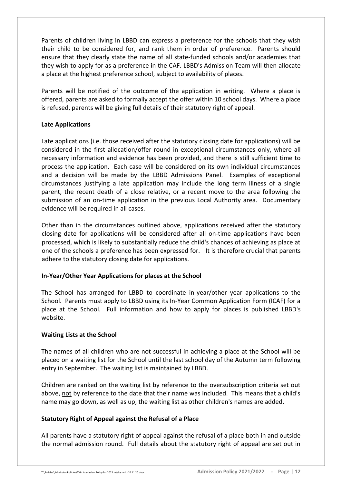Parents of children living in LBBD can express a preference for the schools that they wish their child to be considered for, and rank them in order of preference. Parents should ensure that they clearly state the name of all state-funded schools and/or academies that they wish to apply for as a preference in the CAF. LBBD's Admission Team will then allocate a place at the highest preference school, subject to availability of places.

Parents will be notified of the outcome of the application in writing. Where a place is offered, parents are asked to formally accept the offer within 10 school days. Where a place is refused, parents will be giving full details of their statutory right of appeal.

#### **Late Applications**

Late applications (i.e. those received after the statutory closing date for applications) will be considered in the first allocation/offer round in exceptional circumstances only, where all necessary information and evidence has been provided, and there is still sufficient time to process the application. Each case will be considered on its own individual circumstances and a decision will be made by the LBBD Admissions Panel. Examples of exceptional circumstances justifying a late application may include the long term illness of a single parent, the recent death of a close relative, or a recent move to the area following the submission of an on-time application in the previous Local Authority area. Documentary evidence will be required in all cases.

Other than in the circumstances outlined above, applications received after the statutory closing date for applications will be considered after all on-time applications have been processed, which is likely to substantially reduce the child's chances of achieving as place at one of the schools a preference has been expressed for. It is therefore crucial that parents adhere to the statutory closing date for applications.

## **In-Year/Other Year Applications for places at the School**

The School has arranged for LBBD to coordinate in-year/other year applications to the School. Parents must apply to LBBD using its In-Year Common Application Form (ICAF) for a place at the School. Full information and how to apply for places is published LBBD's website.

#### **Waiting Lists at the School**

The names of all children who are not successful in achieving a place at the School will be placed on a waiting list for the School until the last school day of the Autumn term following entry in September. The waiting list is maintained by LBBD.

Children are ranked on the waiting list by reference to the oversubscription criteria set out above, not by reference to the date that their name was included. This means that a child's name may go down, as well as up, the waiting list as other children's names are added.

## **Statutory Right of Appeal against the Refusal of a Place**

All parents have a statutory right of appeal against the refusal of a place both in and outside the normal admission round. Full details about the statutory right of appeal are set out in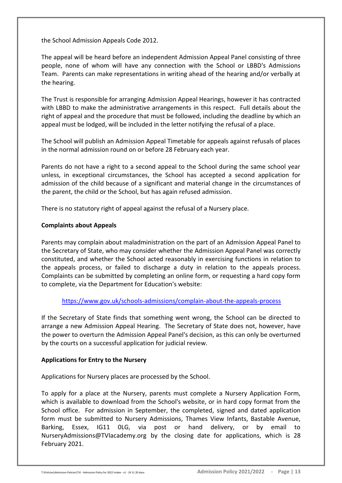the School Admission Appeals Code 2012.

The appeal will be heard before an independent Admission Appeal Panel consisting of three people, none of whom will have any connection with the School or LBBD's Admissions Team. Parents can make representations in writing ahead of the hearing and/or verbally at the hearing.

The Trust is responsible for arranging Admission Appeal Hearings, however it has contracted with LBBD to make the administrative arrangements in this respect. Full details about the right of appeal and the procedure that must be followed, including the deadline by which an appeal must be lodged, will be included in the letter notifying the refusal of a place.

The School will publish an Admission Appeal Timetable for appeals against refusals of places in the normal admission round on or before 28 February each year.

Parents do not have a right to a second appeal to the School during the same school year unless, in exceptional circumstances, the School has accepted a second application for admission of the child because of a significant and material change in the circumstances of the parent, the child or the School, but has again refused admission.

There is no statutory right of appeal against the refusal of a Nursery place.

### **Complaints about Appeals**

Parents may complain about maladministration on the part of an Admission Appeal Panel to the Secretary of State, who may consider whether the Admission Appeal Panel was correctly constituted, and whether the School acted reasonably in exercising functions in relation to the appeals process, or failed to discharge a duty in relation to the appeals process. Complaints can be submitted by completing an online form, or requesting a hard copy form to complete, via the Department for Education's website:

## <https://www.gov.uk/schools-admissions/complain-about-the-appeals-process>

If the Secretary of State finds that something went wrong, the School can be directed to arrange a new Admission Appeal Hearing. The Secretary of State does not, however, have the power to overturn the Admission Appeal Panel's decision, as this can only be overturned by the courts on a successful application for judicial review.

#### **Applications for Entry to the Nursery**

Applications for Nursery places are processed by the School.

To apply for a place at the Nursery, parents must complete a Nursery Application Form, which is available to download from the School's website, or in hard copy format from the School office. For admission in September, the completed, signed and dated application form must be submitted to Nursery Admissions, Thames View Infants, Bastable Avenue, Barking, Essex, IG11 0LG, via post or hand delivery, or by email to NurseryAdmissions@TVIacademy.org by the closing date for applications, which is 28 February 2021.